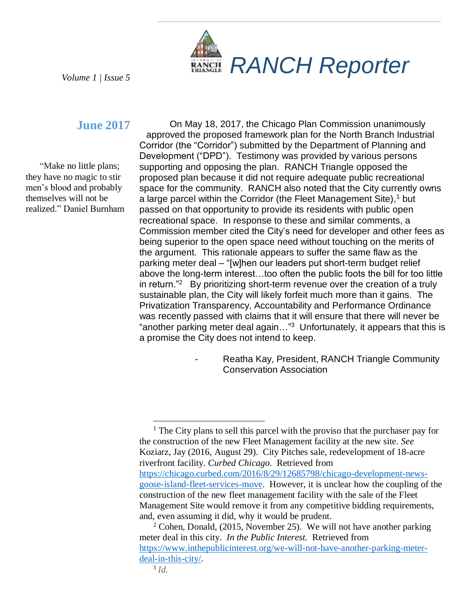

*Volume 1 | Issue 5*

# **June 2017**

"Make no little plans; they have no magic to stir men's blood and probably themselves will not be realized." Daniel Burnham

On May 18, 2017, the Chicago Plan Commission unanimously approved the proposed framework plan for the North Branch Industrial Corridor (the "Corridor") submitted by the Department of Planning and Development ("DPD"). Testimony was provided by various persons supporting and opposing the plan. RANCH Triangle opposed the proposed plan because it did not require adequate public recreational space for the community. RANCH also noted that the City currently owns a large parcel within the Corridor (the Fleet Management Site), <sup>1</sup> but passed on that opportunity to provide its residents with public open recreational space. In response to these and similar comments, a Commission member cited the City's need for developer and other fees as being superior to the open space need without touching on the merits of the argument. This rationale appears to suffer the same flaw as the parking meter deal – "[w]hen our leaders put short-term budget relief above the long-term interest…too often the public foots the bill for too little in return."<sup>2</sup> By prioritizing short-term revenue over the creation of a truly sustainable plan, the City will likely forfeit much more than it gains. The Privatization Transparency, Accountability and Performance Ordinance was recently passed with claims that it will ensure that there will never be "another parking meter deal again..."<sup>3</sup> Unfortunately, it appears that this is a promise the City does not intend to keep.

> Reatha Kay, President, RANCH Triangle Community Conservation Association

l

<sup>&</sup>lt;sup>1</sup> The City plans to sell this parcel with the proviso that the purchaser pay for the construction of the new Fleet Management facility at the new site. *See* Koziarz, Jay (2016, August 29). City Pitches sale, redevelopment of 18-acre riverfront facility. *Curbed Chicago.* Retrieved from [https://chicago.curbed.com/2016/8/29/12685798/chicago-development-news](https://chicago.curbed.com/2016/8/29/12685798/chicago-development-news-goose-island-fleet-services-move)[goose-island-fleet-services-move.](https://chicago.curbed.com/2016/8/29/12685798/chicago-development-news-goose-island-fleet-services-move) However, it is unclear how the coupling of the construction of the new fleet management facility with the sale of the Fleet Management Site would remove it from any competitive bidding requirements, and, even assuming it did, why it would be prudent.

 $2^2$  Cohen, Donald, (2015, November 25). We will not have another parking meter deal in this city. *In the Public Interest.* Retrieved from [https://www.inthepublicinterest.org/we-will-not-have-another-parking-meter](https://www.inthepublicinterest.org/we-will-not-have-another-parking-meter-deal-in-this-city/)[deal-in-this-city/.](https://www.inthepublicinterest.org/we-will-not-have-another-parking-meter-deal-in-this-city/)

<sup>3</sup> *Id.*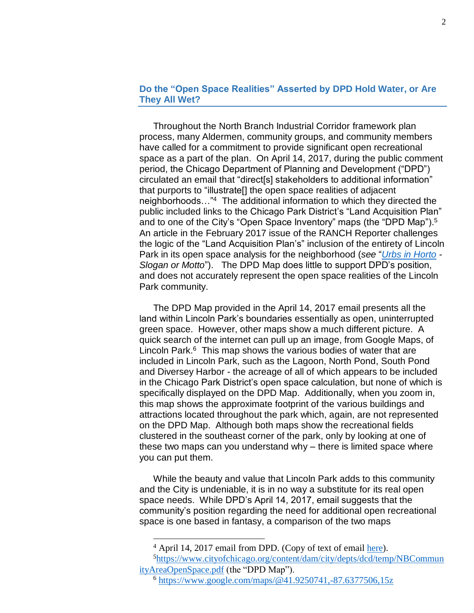## **Do the "Open Space Realities" Asserted by DPD Hold Water, or Are They All Wet?**

Throughout the North Branch Industrial Corridor framework plan process, many Aldermen, community groups, and community members have called for a commitment to provide significant open recreational space as a part of the plan. On April 14, 2017, during the public comment period, the Chicago Department of Planning and Development ("DPD") circulated an email that "direct[s] stakeholders to additional information" that purports to "illustrate[] the open space realities of adjacent neighborhoods…"<sup>4</sup> The additional information to which they directed the public included links to the Chicago Park District's "Land Acquisition Plan" and to one of the City's "Open Space Inventory" maps (the "DPD Map").<sup>5</sup> An article in the February 2017 issue of the RANCH Reporter challenges the logic of the "Land Acquisition Plan's" inclusion of the entirety of Lincoln Park in its open space analysis for the neighborhood (*see* "*[Urbs in Horto](http://files.constantcontact.com/13b0855e001/046a9506-cd83-4b46-b2f1-aa4a34e442ba.pdf?ver=1487349218000) - Slogan or Motto*"). The DPD Map does little to support DPD's position, and does not accurately represent the open space realities of the Lincoln Park community.

The DPD Map provided in the April 14, 2017 email presents all the land within Lincoln Park's boundaries essentially as open, uninterrupted green space. However, other maps show a much different picture. A quick search of the internet can pull up an image, from Google Maps, of Lincoln Park. <sup>6</sup> This map shows the various bodies of water that are included in Lincoln Park, such as the Lagoon, North Pond, South Pond and Diversey Harbor - the acreage of all of which appears to be included in the Chicago Park District's open space calculation, but none of which is specifically displayed on the DPD Map. Additionally, when you zoom in, this map shows the approximate footprint of the various buildings and attractions located throughout the park which, again, are not represented on the DPD Map. Although both maps show the recreational fields clustered in the southeast corner of the park, only by looking at one of these two maps can you understand why – there is limited space where you can put them.

While the beauty and value that Lincoln Park adds to this community and the City is undeniable, it is in no way a substitute for its real open space needs. While DPD's April 14, 2017, email suggests that the community's position regarding the need for additional open recreational space is one based in fantasy, a comparison of the two maps

 $\overline{\phantom{a}}$ 

<sup>&</sup>lt;sup>4</sup> April 14, 2017 email from DPD. (Copy of text of email [here\)](http://files.constantcontact.com/13b0855e001/ab4981ee-5565-4505-b139-4054bab90c9f.pdf?ver=1497970635000).

<sup>5</sup>[https://www.cityofchicago.org/content/dam/city/depts/dcd/temp/NBCommun](https://www.cityofchicago.org/content/dam/city/depts/dcd/temp/NBCommunityAreaOpenSpace.pdf) [ityAreaOpenSpace.pdf](https://www.cityofchicago.org/content/dam/city/depts/dcd/temp/NBCommunityAreaOpenSpace.pdf) (the "DPD Map").

<sup>6</sup> <https://www.google.com/maps/@41.9250741,-87.6377506,15z>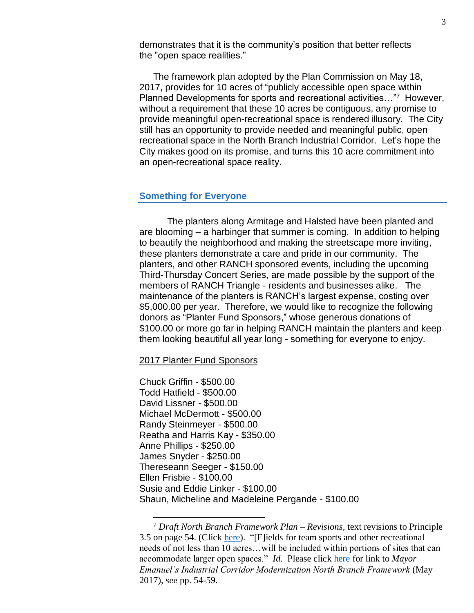demonstrates that it is the community's position that better reflects the "open space realities."

The framework plan adopted by the Plan Commission on May 18, 2017, provides for 10 acres of "publicly accessible open space within Planned Developments for sports and recreational activities..."<sup>7</sup> However, without a requirement that these 10 acres be contiguous, any promise to provide meaningful open-recreational space is rendered illusory. The City still has an opportunity to provide needed and meaningful public, open recreational space in the North Branch Industrial Corridor. Let's hope the City makes good on its promise, and turns this 10 acre commitment into an open-recreational space reality.

#### **Something for Everyone**

The planters along Armitage and Halsted have been planted and are blooming – a harbinger that summer is coming. In addition to helping to beautify the neighborhood and making the streetscape more inviting, these planters demonstrate a care and pride in our community. The planters, and other RANCH sponsored events, including the upcoming Third-Thursday Concert Series, are made possible by the support of the members of RANCH Triangle - residents and businesses alike. The maintenance of the planters is RANCH's largest expense, costing over \$5,000.00 per year. Therefore, we would like to recognize the following donors as "Planter Fund Sponsors," whose generous donations of \$100.00 or more go far in helping RANCH maintain the planters and keep them looking beautiful all year long - something for everyone to enjoy.

#### 2017 Planter Fund Sponsors

Chuck Griffin - \$500.00 Todd Hatfield - \$500.00 David Lissner - \$500.00 Michael McDermott - \$500.00 Randy Steinmeyer - \$500.00 Reatha and Harris Kay - \$350.00 Anne Phillips - \$250.00 James Snyder - \$250.00 Thereseann Seeger - \$150.00 Ellen Frisbie - \$100.00 Susie and Eddie Linker - \$100.00 Shaun, Micheline and Madeleine Pergande - \$100.00

<sup>7</sup> *Draft North Branch Framework Plan – Revisions,* text revisions to Principle 3.5 on page 54. (Click [here\)](https://www.cityofchicago.org/content/dam/city/depts/dcd/supp_info/industrial/NB_Framework_Revisions.pdf). "[F]ields for team sports and other recreational needs of not less than 10 acres…will be included within portions of sites that can accommodate larger open spaces." *Id.* Please click [here](https://www.cityofchicago.org/content/dam/city/depts/dcd/supp_info/industrial/Draft_North_Branch_IC_Framework_Design_Guidelines.pdf) for link to *Mayor Emanuel's Industrial Corridor Modernization North Branch Framework* (May 2017), *see* pp. 54-59.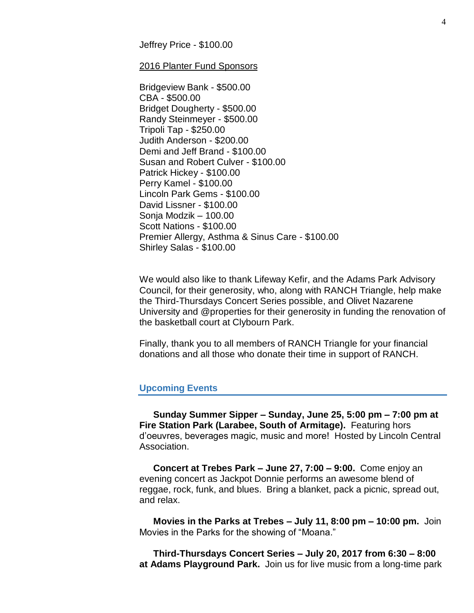Jeffrey Price - \$100.00

#### 2016 Planter Fund Sponsors

Bridgeview Bank - \$500.00 CBA - \$500.00 Bridget Dougherty - \$500.00 Randy Steinmeyer - \$500.00 Tripoli Tap - \$250.00 Judith Anderson - \$200.00 Demi and Jeff Brand - \$100.00 Susan and Robert Culver - \$100.00 Patrick Hickey - \$100.00 Perry Kamel - \$100.00 Lincoln Park Gems - \$100.00 David Lissner - \$100.00 Sonja Modzik – 100.00 Scott Nations - \$100.00 Premier Allergy, Asthma & Sinus Care - \$100.00 Shirley Salas - \$100.00

We would also like to thank Lifeway Kefir, and the Adams Park Advisory Council, for their generosity, who, along with RANCH Triangle, help make the Third-Thursdays Concert Series possible, and Olivet Nazarene University and @properties for their generosity in funding the renovation of the basketball court at Clybourn Park.

Finally, thank you to all members of RANCH Triangle for your financial donations and all those who donate their time in support of RANCH.

### **Upcoming Events**

**Sunday Summer Sipper – Sunday, June 25, 5:00 pm – 7:00 pm at Fire Station Park (Larabee, South of Armitage).** Featuring hors d'oeuvres, beverages magic, music and more! Hosted by Lincoln Central Association.

**Concert at Trebes Park – June 27, 7:00 – 9:00.** Come enjoy an evening concert as Jackpot Donnie performs an awesome blend of reggae, rock, funk, and blues. Bring a blanket, pack a picnic, spread out, and relax.

**Movies in the Parks at Trebes – July 11, 8:00 pm – 10:00 pm.** Join Movies in the Parks for the showing of "Moana."

**Third-Thursdays Concert Series – July 20, 2017 from 6:30 – 8:00 at Adams Playground Park.** Join us for live music from a long-time park